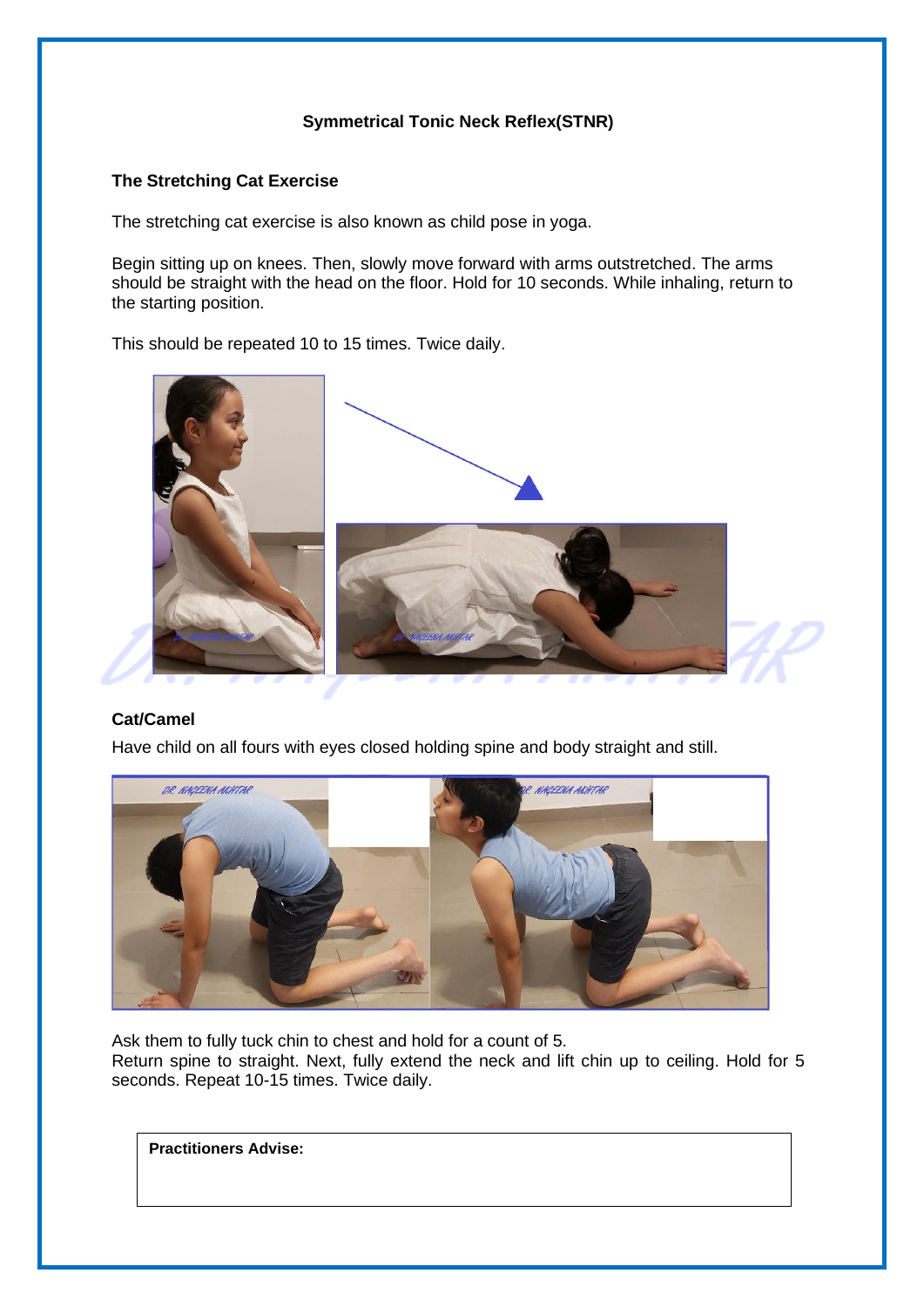# **Symmetrical Tonic Neck Reflex(STNR)**

## **The Stretching Cat Exercise**

The stretching cat exercise is also known as child pose in yoga.

Begin sitting up on knees. Then, slowly move forward with arms outstretched. The arms should be straight with the head on the floor. Hold for 10 seconds. While inhaling, return to the starting position.

This should be repeated 10 to 15 times. Twice daily.



### **Cat/Camel**

Have child on all fours with eyes closed holding spine and body straight and still.



Ask them to fully tuck chin to chest and hold for a count of 5.

Return spine to straight. Next, fully extend the neck and lift chin up to ceiling. Hold for 5 seconds. Repeat 10-15 times. Twice daily.

**Practitioners Advise:**